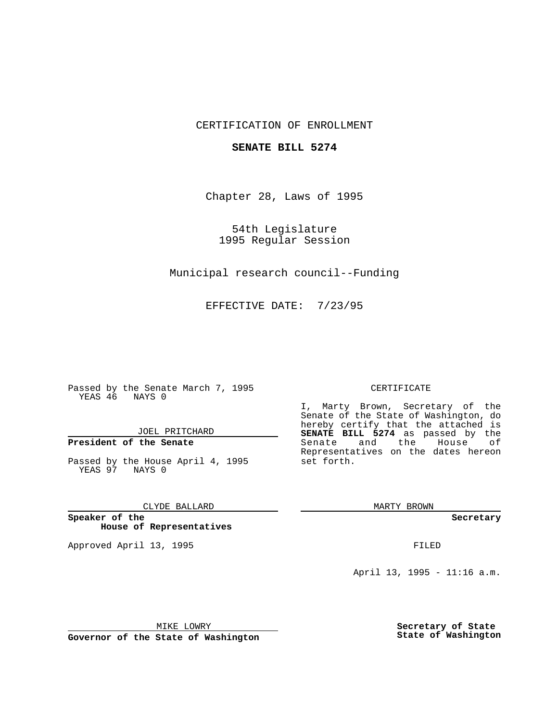## CERTIFICATION OF ENROLLMENT

### **SENATE BILL 5274**

Chapter 28, Laws of 1995

54th Legislature 1995 Regular Session

Municipal research council--Funding

EFFECTIVE DATE: 7/23/95

Passed by the Senate March 7, 1995 YEAS 46 NAYS 0

JOEL PRITCHARD

# **President of the Senate**

Passed by the House April 4, 1995 YEAS 97 NAYS 0

CLYDE BALLARD

**Speaker of the House of Representatives**

Approved April 13, 1995 FILED

#### CERTIFICATE

I, Marty Brown, Secretary of the Senate of the State of Washington, do hereby certify that the attached is **SENATE BILL 5274** as passed by the Senate and the House of Representatives on the dates hereon set forth.

MARTY BROWN

**Secretary**

April 13, 1995 - 11:16 a.m.

MIKE LOWRY

**Governor of the State of Washington**

**Secretary of State State of Washington**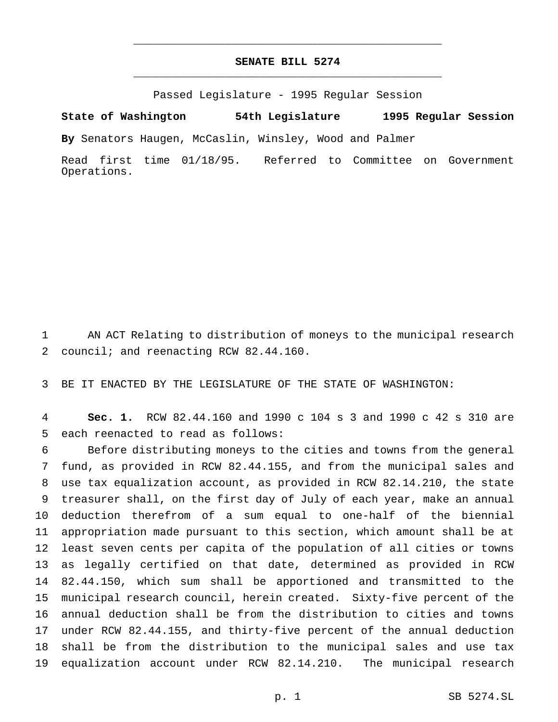## **SENATE BILL 5274** \_\_\_\_\_\_\_\_\_\_\_\_\_\_\_\_\_\_\_\_\_\_\_\_\_\_\_\_\_\_\_\_\_\_\_\_\_\_\_\_\_\_\_\_\_\_\_

\_\_\_\_\_\_\_\_\_\_\_\_\_\_\_\_\_\_\_\_\_\_\_\_\_\_\_\_\_\_\_\_\_\_\_\_\_\_\_\_\_\_\_\_\_\_\_

Passed Legislature - 1995 Regular Session

**State of Washington 54th Legislature 1995 Regular Session**

**By** Senators Haugen, McCaslin, Winsley, Wood and Palmer

Read first time 01/18/95. Referred to Committee on Government Operations.

 AN ACT Relating to distribution of moneys to the municipal research council; and reenacting RCW 82.44.160.

BE IT ENACTED BY THE LEGISLATURE OF THE STATE OF WASHINGTON:

 **Sec. 1.** RCW 82.44.160 and 1990 c 104 s 3 and 1990 c 42 s 310 are each reenacted to read as follows:

 Before distributing moneys to the cities and towns from the general fund, as provided in RCW 82.44.155, and from the municipal sales and use tax equalization account, as provided in RCW 82.14.210, the state treasurer shall, on the first day of July of each year, make an annual deduction therefrom of a sum equal to one-half of the biennial appropriation made pursuant to this section, which amount shall be at least seven cents per capita of the population of all cities or towns as legally certified on that date, determined as provided in RCW 82.44.150, which sum shall be apportioned and transmitted to the municipal research council, herein created. Sixty-five percent of the annual deduction shall be from the distribution to cities and towns under RCW 82.44.155, and thirty-five percent of the annual deduction shall be from the distribution to the municipal sales and use tax equalization account under RCW 82.14.210. The municipal research